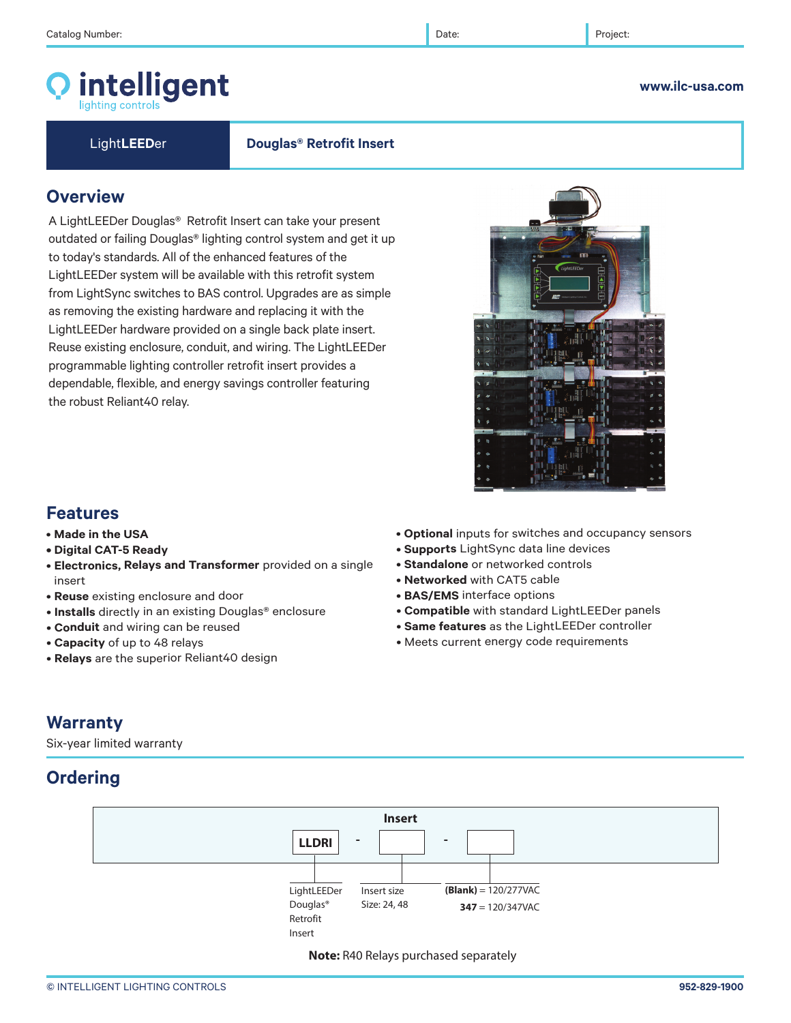# intelligent

**www.ilc-usa.com** 

Light**LEED**er **Douglas® Retrofit Insert** 

# **Overview**

A LightLEEDer Douglas® Retrofit Insert can take your present outdated or failing Douglas® lighting control system and get it up to today's standards. All of the enhanced features of the LightLEEDer system will be available with this retrofit system from LightSync switches to BAS control. Upgrades are as simple as removing the existing hardware and replacing it with the LightLEEDer hardware provided on a single back plate insert. Reuse existing enclosure, conduit, and wiring. The LightLEEDer programmable lighting controller retrofit insert provides a dependable, flexible, and energy savings controller featuring the robust Reliant40 relay.



## **Features**

- **Made in the USA**
- **Digital CAT-5 Ready**
- **Electronics, Relays and Transformer** provided on a single insert
- **Reuse** existing enclosure and door
- **Installs** directly in an existing Douglas® enclosure
- **Conduit** and wiring can be reused
- **Capacity** of up to 48 relays
- **Relays** are the superior Reliant40 design
- **Optional** inputs for switches and occupancy sensors
- **Supports** LightSync data line devices
- **Standalone** or networked controls
- **Networked** with CAT5 cable
- **BAS/EMS** interface options
- **Compatible** with standard LightLEEDer panels
- **Same features** as the LightLEEDer controller
- Meets current energy code requirements

# **Warranty**

Six-year limited warranty

# **Ordering**



**Note:** R40 Relays purchased separately